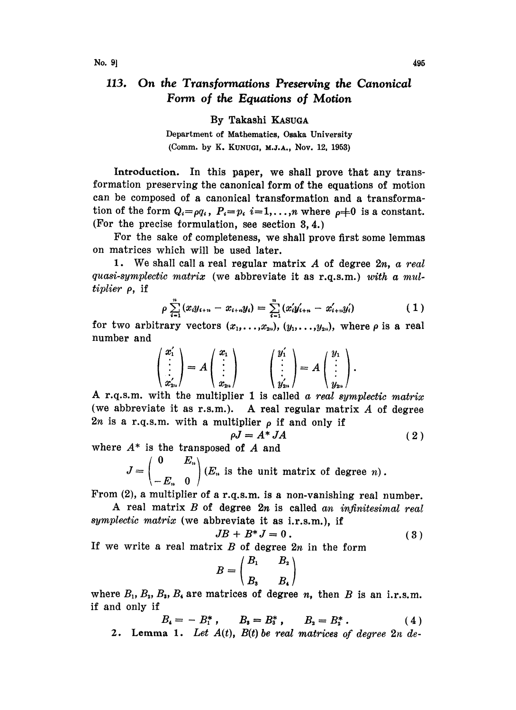## 113. On the Transformations Preserving the Canonical Form of the Equations of Motion

By Takashi KASUGA

Department of Mathematics, Osaka University (Comm. by K. KUNUGI, M.J.A., Nov. 12, 1953)

Introduction. In this paper, we shall prove that any transformation preserving the canonical form of the equations of motion can be composed of a canonical transformation and a transformation of the form  $Q_i = \rho q_i$ ,  $P_i = p_i$ ,  $i = 1, \ldots, n$  where  $\rho \neq 0$  is a constant. (For the precise formulation, see section  $3, 4$ .)

For the sake of completeness, we shall prove first some lemmas on matrices which will be used later.

1. We shall call a real regular matrix  $A$  of degree  $2n$ , a real quasi-symplectic matrix (we abbreviate it as r.q.s.m.) with a mul $tiplier$   $\rho$ , if

$$
\rho \sum_{i=1}^{n} (x_i y_{i+n} - x_{i+n} y_i) = \sum_{i=1}^{n} (x'_i y'_{i+n} - x'_{i+n} y'_i)
$$
 (1)

for two arbitrary vectors  $(x_1, \ldots, x_{2n}), (y_1, \ldots, y_{2n})$ , where  $\rho$  is a real number and

$$
\begin{pmatrix} x_1' \\ \vdots \\ x_{2n}' \end{pmatrix} = A \begin{pmatrix} x_1 \\ \vdots \\ x_{2n} \end{pmatrix} \qquad \begin{pmatrix} y_1' \\ \vdots \\ y_{2n}' \end{pmatrix} = A \begin{pmatrix} y_1 \\ \vdots \\ y_{2n} \end{pmatrix}.
$$

A r.q.s.m, with the multiplier <sup>1</sup> is called <sup>a</sup> real symplectic matrix (we abbreviate it as r.s.m.). A real regular matrix  $A$  of degree 2n is a r.q.s.m. with a multiplier  $\rho$  if and only if

$$
\rho J = A^* J A \tag{2}
$$

where  $A^*$  is the transposed of  $A$  and

 $J=\begin{pmatrix} 1 & -\frac{2n}{n} \end{pmatrix}$  (E<sub>n</sub> is the unit matrix of degree n).  $\setminus -E_n$  0

From (2), <sup>a</sup> multiplier of <sup>a</sup> r.q.s.m, is <sup>a</sup> non-vanishing real number.

A real matrix  $B$  of degree  $2n$  is called an infinitesimal real symplectic matrix (we abbreviate it as i.r.s.m.), if

$$
JB + B^*J = 0.
$$
 (3)

If we write a real matrix  $B$  of degree  $2n$  in the form

$$
B = \begin{pmatrix} B_1 & B_2 \\ B_3 & B_4 \end{pmatrix}
$$

where  $B_1$ ,  $B_2$ ,  $B_3$ ,  $B_4$  are matrices of degree n, then B is an i.r.s.m. if and only if

$$
B_4 = - B_1^*, \qquad B_5 = B_3^*, \qquad B_2 = B_2^* \,.
$$
 (4)

2. Lemma 1. Let  $A(t)$ ,  $B(t)$  be real matrices of degree  $2n$  de-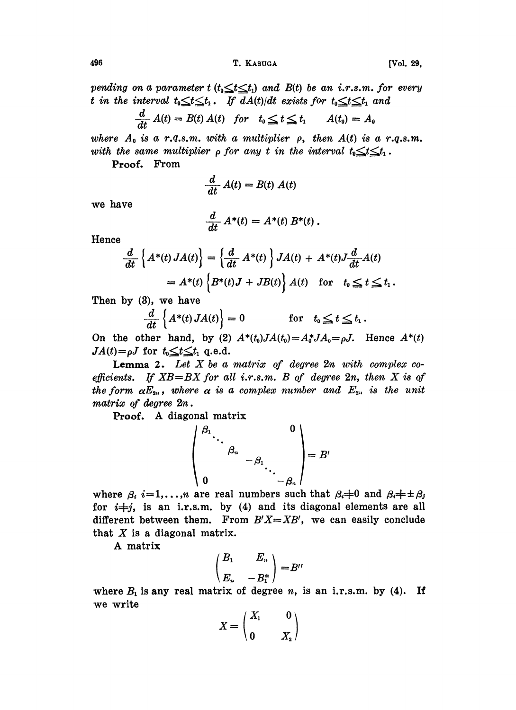pending on a parameter  $t$  ( $t_0 \leq t \leq t_1$ ) and  $B(t)$  be an i.r.s.m. for every t in the interval  $t_0 \leq t \leq t_1$ . If  $dA(t)/dt$  exists for  $t_0 \leq t \leq t_1$  and

$$
\frac{d}{dt} A(t) = B(t) A(t) \quad \text{for} \quad t_0 \leq t \leq t_1 \qquad A(t_0) = A_0
$$

where  $A_0$  is a r.q.s.m. with a multiplier  $\rho$ , then  $A(t)$  is a r.q.s.m. with the same multiplier  $\rho$  for any t in the interval  $t_0 \leq t \leq t_1$ .

Proof. From

$$
\frac{d}{dt} A(t) = B(t) A(t)
$$

we have

$$
\frac{d}{dt} A^*(t) = A^*(t) B^*(t).
$$

Hence

$$
\frac{d}{dt} \left\{ A^*(t) JA(t) \right\} = \left\{ \frac{d}{dt} A^*(t) \right\} JA(t) + A^*(t) J \frac{d}{dt} A(t)
$$

$$
= A^*(t) \left\{ B^*(t) J + JB(t) \right\} A(t) \text{ for } t_0 \le t \le t_1.
$$

Then by (8), we have

$$
\frac{d}{dt}\left\{A^*(t) J A(t)\right\} = 0 \quad \text{for} \quad t_0 \leq t \leq t_1.
$$

On the other hand, by (2)  $A^*(t_0)JA(t_0)=A_0^*JA_0=\rho J$ . Hence  $A^*(t)$  $JA(t)=\rho J$  for  $t_0 \leq t \leq t_1$  q.e.d.

**Lemma 2.** Let  $X$  be a matrix of degree  $2n$  with complex coefficients. If  $XB = BX$  for all i.r.s.m. B of degree  $2n$ , then X is of the form  $\alpha E_{2n}$ , where  $\alpha$  is a complex number and  $E_{2n}$  is the unit matrix of degree  $2n$ .

Proof. A diagonal matrix

$$
\left(\begin{array}{ccc} \beta_1 & & & 0 \\ & \ddots & & \\ \beta_n & & -\beta_1 & \\ 0 & & & -\beta_n \end{array}\right)=B'
$$

where  $\beta_i$  i=1,...,n are real numbers such that  $\beta_i \neq 0$  and  $\beta_i \neq \pm \beta_j$ for  $i+j$ , is an i.r.s.m. by (4) and its diagonal elements are all different between them. From  $B'X=\overline{X}B'$ , we can easily conclude that  $X$  is a diagonal matrix.

A matrix

$$
\begin{pmatrix} B_1 & E_n \\ E_n & -B_1^* \end{pmatrix} = B''
$$

where  $B_1$  is any real matrix of degree n, is an i.r.s.m. by (4). If we write

$$
X = \begin{pmatrix} X_1 & 0 \\ 0 & X_2 \end{pmatrix}
$$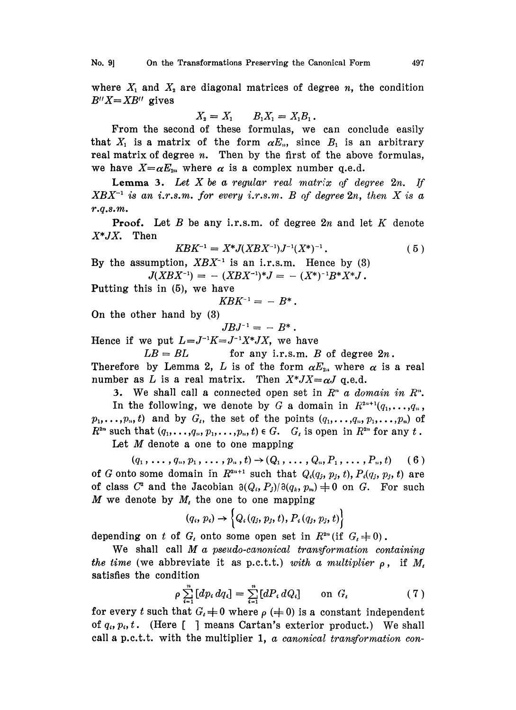where  $X_1$  and  $X_2$  are diagonal matrices of degree n, the condition  $B''X=XB''$  gives

$$
X_2 = X_1 \qquad B_1 X_1 = X_1 B_1 \, .
$$

From the second of these formulas, we can conclude easily that  $X_1$  is a matrix of the form  $\alpha E_n$ , since  $B_1$  is an arbitrary real matrix of degree  $n$ . Then by the first of the above formulas, we have  $X=\alpha E_{2n}$  where  $\alpha$  is a complex number q.e.d.

**Lemma 3.** Let  $X$  be a regular real matrix of degree  $2n$ . If  $XBX^{-1}$  is an i.r.s.m. for every i.r.s.m. B of degree  $2n$ , then X is a r.q.s.m.

**Proof.** Let B be any i.r.s.m. of degree  $2n$  and let K denote  $X^*JX$ . Then

$$
KBK^{-1} = X^*J(XBX^{-1})J^{-1}(X^*)^{-1}.
$$
 (5)

 $KBK^{-1} = X^*J(XBX^{-1})J^{-1}(X^*)^{-1}.$  (5)<br>By the assumption,  $XBX^{-1}$  is an i.r.s.m. Hence by (3) imption,  $XBX^{-1}$  is an i.r.s.m. Hence by (3)<br> $J(XBX^{-1}) = - (XBX^{-1})^*J = -(X^*)^{-1}B^*X^*J$ .

Putting this in (5), we have

$$
KBK^{-1} = -B^*.
$$

On the other hand by (3)

$$
JBJ^{-1} = - B^*.
$$

Hence if we put  $L = J^{-1}K = J^{-1}X^*JX$ , we have

 $LB = BL$  for any i.r.s.m. B of degree  $2n$ .

Therefore by Lemma 2, L is of the form  $\alpha E_{2n}$  where  $\alpha$  is a real number as L is a real matrix. Then  $X^*JX = \alpha J$  q.e.d.

3. We shall call a connected open set in  $R^n$  a domain in  $R^n$ . In the following, we denote by G a domain in  $R^{2n+1}(q_1,\ldots,q_n)$ ,  $p_1, \ldots, p_n, t$  and by  $G_t$ , the set of the points  $(q_1, \ldots, q_n, p_1, \ldots, p_n)$  of  $R^{2n}$  such that  $(q_1,\ldots,q_n,p_1,\ldots,p_n,t) \in G$ .  $G_t$  is open in  $R^{2n}$  for any t.

Let  $M$  denote a one to one mapping

 $(q_1, \ldots, q_n, p_1, \ldots, p_n, t) \rightarrow (Q_1, \ldots, Q_n, P_1, \ldots, P_n, t)$  (6) of G onto some domain in  $R^{2n+1}$  such that  $Q_i(q_i, p_i, t), P_i(q_i, p_i, t)$  are of class  $C^2$  and the Jacobian  $\partial(Q_i,P_j)/\partial(q_k,p_m)=0$  on G. For such M we denote by  $M_t$ , the one to one mapping

$$
(q_i, p_i) \rightarrow \left\{Q_i(q_j, p_j, t), P_i(q_j, p_j, t)\right\}
$$

depending on t of  $G_t$  onto some open set in  $R^{2n}$  (if  $G_t \neq 0$ ).

We shall call  $M$  a pseudo-canonical transformation containing the time (we abbreviate it as p.c.t.t.) with a multiplier  $\rho$ , if  $M_t$ satisfies the condition

$$
\rho \sum_{i=1}^{n} [dp_i dq_i] = \sum_{i=1}^{n} [dP_i dQ_i] \quad \text{on } G_t \tag{7}
$$

for every t such that  $G_t = 0$  where  $\rho (=0)$  is a constant independent of  $q_i, p_i, t$ . (Here [ ] means Cartan's exterior product.) We shall call a p.c.t.t. with the multiplier 1,  $\alpha$  canonical transformation con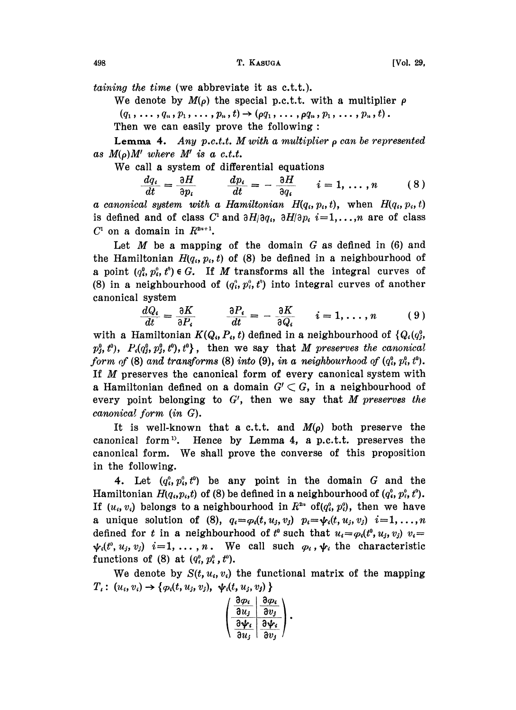taining the time (we abbreviate it as c.t.t.).

We denote by  $M(\rho)$  the special p.c.t.t. with a multiplier  $\rho$  $(q_1, \ldots, q_n, p_1, \ldots, p_n, t) \rightarrow (\rho q_1, \ldots, \rho q_n, p_1, \ldots, p_n, t).$ Then we can easily prove the following:

**Lemma 4.** Any p.c.t.t. M with a multiplier  $\rho$  can be represented as  $M(\rho)M'$  where M' is a c.t.t.

We call <sup>a</sup> system of differential equations

$$
\frac{dq_i}{dt} = \frac{\partial H}{\partial p_i} \qquad \frac{dp_i}{dt} = -\frac{\partial H}{\partial q_i} \qquad i = 1, \ldots, n \qquad (8)
$$

a canonical system with a Hamiltonian  $H(q_i, p_i, t)$ , when  $H(q_i, p_i, t)$ is defined and of class C<sup>1</sup> and  $\partial H/\partial q_i$ ,  $\partial H/\partial p_i$ ,  $i=1,\ldots,n$  are of class  $C<sup>1</sup>$  on a domain in  $R^{2n+1}$ .

Let  $M$  be a mapping of the domain  $G$  as defined in (6) and the Hamiltonian  $H(q_i, p_i, t)$  of (8) be defined in a neighbourhood of a point  $(q_i^0, p_i^0, t^0) \in G$ . If M transforms all the integral curves of (8) in a neighbourhood of  $(q_i^0, p_i^0, t^0)$  into integral curves of another canonical system

system  
\n
$$
\frac{dQ_i}{dt} = \frac{\partial K}{\partial P_i} \qquad \frac{\partial P_i}{dt} = -\frac{\partial K}{\partial Q_i} \qquad i = 1, ..., n \qquad (9)
$$

with a Hamiltonian  $K(Q_i, P_i, t)$  defined in a neighbourhood of  $\{Q_i(q_i^0,$  $p_j^0$ ,  $t^0$ ),  $P_i(q_j^0, p_j^0, t^0)$ ,  $t^0$ }, then we say that M preserves the canonical form of (8) and transforms (8) into (9), in a neighbourhood of  $(q_i^0, p_i^0, t^0)$ . If M preserves the canonical form of every canonical system with a Hamiltonian defined on a domain  $G' \subset G$ , in a neighbourhood of every point belonging to  $G'$ , then we say that M preserves the canonical form  $(in G)$ .

It is well-known that a c.t.t. and  $M(\rho)$  both preserve the canonical form<sup>1</sup>. Hence by Lemma 4, a p.c.t.t. preserves the canonical form. We shall prove the converse of this proposition in the following.

4. Let  $(q_i^o, p_i^o, t^o)$  be any point in the domain G and the Hamiltonian  $H(q_i,p_i,t)$  of (8) be defined in a neighbourhood of  $(q_i^0, p_i^0, t^0)$ . If  $(u_i, v_i)$  belongs to a neighbourhood in  $R^{2n}$  of( $q_i^0$ ,  $p_i^0$ ), then we have a unique solution of (8),  $q_i = \varphi_i(t, u_j, v_j)$   $p_i = \psi_i(t, u_j, v_j)$   $i=1,\ldots,n$ defined for t in a neighbourhood of t<sup>o</sup> such that  $u_i = \varphi_i(t^0, u_j, v_j)$   $v_i =$  $\psi_i(t^0, u_j, v_j)$  i=1, ..., n. We call such  $\varphi_i$ ,  $\psi_i$  the characteristic functions of (8) at  $(q_i^0, p_i^0, t^0)$ .

We denote by  $S(t, u_i, v_i)$  the functional matrix of the mapping  $T_i: (u_i, v_i) \to \{p_i(t, u_j, v_j), \psi_i(t, u_j, v_j)\}\$ 

| მ $\bm{\varphi_i}$            | მ $\bm{\varphi_i}$ |
|-------------------------------|--------------------|
| $\partial u_j$                | av,                |
| $\partial \boldsymbol \psi_i$ | $\partial \psi_i$  |
| $\mathfrak{d}u_j$             | $\partial v_i$     |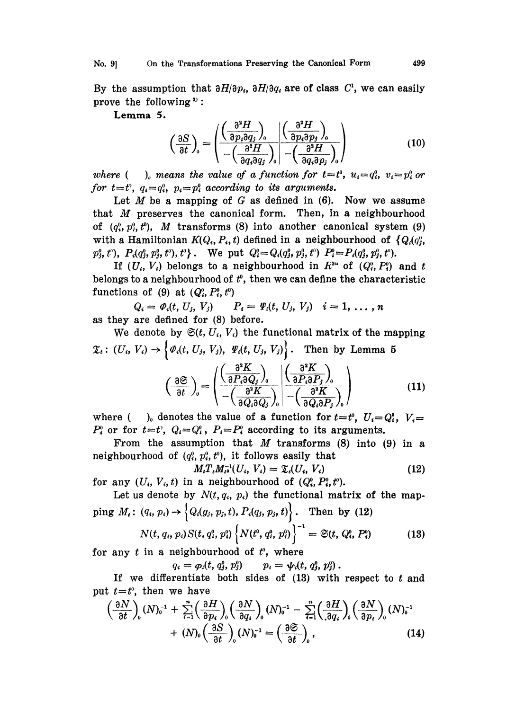No. 9] On the Transformations Preserving the Canonical Form 499

By the assumption that  $\partial H/\partial p_i$ ,  $\partial H/\partial q_i$  are of class  $C^1$ , we can easily prove the following  $2$ :

Lemma 5.

$$
\left(\frac{\partial S}{\partial t}\right)_0 = \left(\frac{\left(\frac{\partial^2 H}{\partial p_i \partial q_j}\right)_0}{-\left(\frac{\partial^2 H}{\partial q_i \partial q_j}\right)_0}\right) \left(\frac{\partial^2 H}{\partial p_i \partial p_j}\right)_0
$$
\n(10)

where ( ), means the value of a function for  $t=t^0$ ,  $u_i=q_i^0$ ,  $v_i=p_i^0$  or for  $t=t^{\circ}$ ,  $q_i=q_i^{\circ}$ ,  $p_i=p_i^{\circ}$  according to its arguments.

Let  $M$  be a mapping of  $G$  as defined in  $(6)$ . Now we assume that  $M$  preserves the canonical form. Then, in a neighbourhood of  $(q_i^0, p_i^0, t^0)$ , *M* transforms (8) into another canonical system (9) with a Hamiltonian  $K(Q_i, P_i, t)$  defined in a neighbourhood of  $\{Q_i(q_i^0,$  $p_j^0, t^{\scriptscriptstyle o}$ ,  $P_i(q_j^0, p_j^0, t^{\scriptscriptstyle o}), t^{\scriptscriptstyle o}\}$ . We put  $Q_i^{\scriptscriptstyle o} = Q_i(q_j^0, p_j^0, t^{\scriptscriptstyle o})$   $P_i^{\scriptscriptstyle o} = P_i(q_j^0, p_j^0, t^{\scriptscriptstyle o}).$ 

If  $(U_i, V_i)$  belongs to a neighbourhood in  $R^{2n}$  of  $(Q_i^0, P_i^0)$  and t belongs to a neighbourhood of  $t^0$ , then we can define the characteristic functions of (9) at  $(Q_i^0, P_i^0, t^0)$ 

 $Q_i = \varPhi_i(t, U_j, V_j)$   $P_i = \varPsi_i(t, U_j, V_j)$   $i = 1, ..., n$ as they are defined for (8) before.

We denote by  $\mathfrak{S}(t, U_i, V_i)$  the functional matrix of the mapping  $\mathfrak{X}_t: (U_i, V_i) \to \left\{ \varPhi_i(t, U_j, V_j), \ \varPsi_i(t, U_j, V_j) \right\}.$  Then by Lemma 5

$$
\left(\frac{\partial \mathfrak{S}}{\partial t}\right)_0 = \begin{pmatrix} \left(\frac{\partial^2 K}{\partial P_i \partial Q_j}\right)_0 & \left(\frac{\partial^2 K}{\partial P_i \partial P_j}\right)_0\\ -\left(\frac{\partial^2 K}{\partial Q_i \partial Q_j}\right)_0 & -\left(\frac{\partial^2 K}{\partial Q_i \partial P_j}\right)_0 \end{pmatrix}
$$
\n\nenotes the value of a function for  $t = t^0$ ,  $U_i = Q_i^0$ ,  $V_i =$ ,  $Q_i = Q_i^0$ ,  $P_i = P_i^0$  according to its arguments.

where  $($  ), denotes the value of a function for  $P_i^{\circ}$  or for  $t=t^{\circ}$ ,  $Q_i=Q_i^{\circ}$ ,  $P_i=P_i^{\circ}$  according to its arguments.

From the assumption that  $M$  transforms (8) into (9) in a neighbourhood of  $(q_i^0, p_i^0, t^0)$ , it follows easily that

$$
M_{i}T_{i}M_{i}^{-1}(U_{i}, V_{i}) = \mathfrak{X}_{i}(U_{i}, V_{i})
$$
\n(12)

for any  $(U_i, V_i, t)$  in a neighbourhood of  $(Q_i^0, P_i^0, t^0)$ .

Let us denote by 
$$
N(t, q_i, p_i)
$$
 the functional matrix of the mapping  $M_i$ :  $(q_i, p_i) \rightarrow \{Q_i(g_j, p_j, t), P_i(q_j, p_j, t)\}$ . Then by (12)  

$$
N(t, q_i, p_i) S(t, q_i^0, p_i^0) \{N(t^0, q_i^0, p_i^0)\}^{-1} = \mathfrak{S}(t, Q_i^0, P_i^0)
$$
(13)

for any  $t$  in a neighbourhood of  $t^0$ , where

 $q_i = \varphi_i(t, q_i^0, p_i^0)$  $p_i = \psi_i(t, q_i^0, p_i^0)$ .

If we differentiate both sides of  $(13)$  with respect to  $t$  and put  $t=t^0$ , then we have

$$
\left(\frac{\partial N}{\partial t}\right)_0 (N)_0^{-1} + \sum_{i=1}^n \left(\frac{\partial H}{\partial p_i}\right)_0 \left(\frac{\partial N}{\partial q_i}\right)_0 (N)_0^{-1} - \sum_{i=1}^n \left(\frac{\partial H}{\partial q_i}\right)_0 \left(\frac{\partial N}{\partial p_i}\right)_0 (N)_0^{-1} + (N)_0 \left(\frac{\partial S}{\partial t}\right)_0 (N)_0^{-1} = \left(\frac{\partial S}{\partial t}\right)_0,
$$
\n(14)